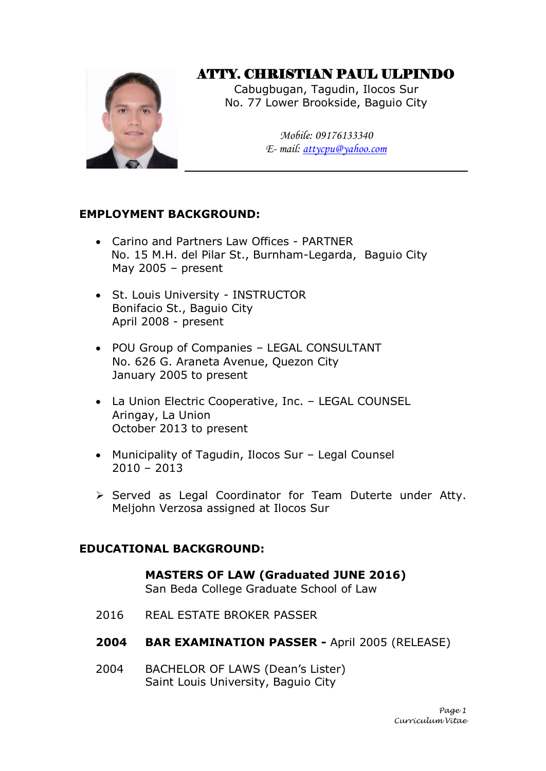# ATTY. CHRISTIAN PAUL ULPINDO

Cabugbugan, Tagudin, Ilocos Sur No. 77 Lower Brookside, Baguio City

> *Mobile: 09176133340 E- mail: [attycpu@yahoo.com](mailto:attycpu@yahoo.com)*

## **EMPLOYMENT BACKGROUND:**

- Carino and Partners Law Offices PARTNER No. 15 M.H. del Pilar St., Burnham-Legarda, Baguio City May 2005 – present
- St. Louis University INSTRUCTOR Bonifacio St., Baguio City April 2008 - present
- POU Group of Companies LEGAL CONSULTANT No. 626 G. Araneta Avenue, Quezon City January 2005 to present
- La Union Electric Cooperative, Inc. LEGAL COUNSEL Aringay, La Union October 2013 to present
- Municipality of Tagudin, Ilocos Sur Legal Counsel  $2010 - 2013$
- $\triangleright$  Served as Legal Coordinator for Team Duterte under Atty. Meljohn Verzosa assigned at Ilocos Sur

### **EDUCATIONAL BACKGROUND:**

**MASTERS OF LAW (Graduated JUNE 2016)** San Beda College Graduate School of Law

- 2016 REAL ESTATE BROKER PASSER
- **2004 BAR EXAMINATION PASSER -** April 2005 (RELEASE)
- 2004 BACHELOR OF LAWS (Dean's Lister) Saint Louis University, Baguio City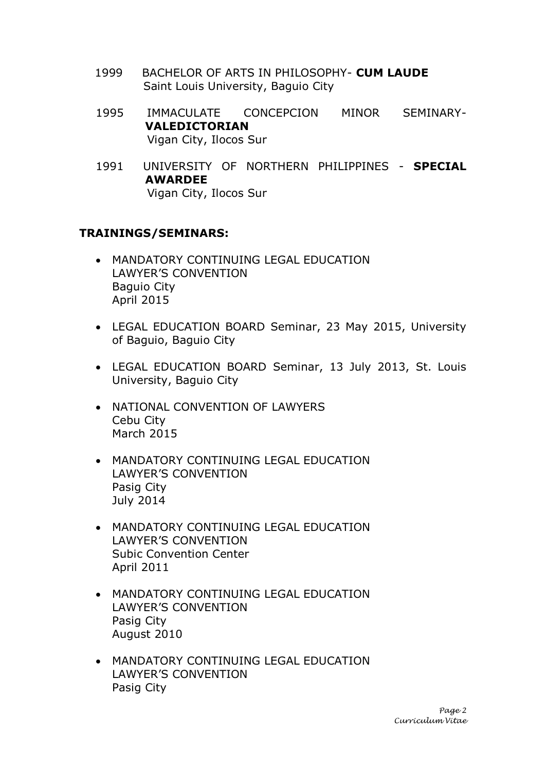- 1999 BACHELOR OF ARTS IN PHILOSOPHY- **CUM LAUDE** Saint Louis University, Baguio City
- 1995 IMMACULATE CONCEPCION MINOR SEMINARY-**VALEDICTORIAN** Vigan City, Ilocos Sur
- 1991 UNIVERSITY OF NORTHERN PHILIPPINES **SPECIAL AWARDEE** Vigan City, Ilocos Sur

### **TRAININGS/SEMINARS:**

- MANDATORY CONTINUING LEGAL EDUCATION LAWYER'S CONVENTION Baguio City April 2015
- LEGAL EDUCATION BOARD Seminar, 23 May 2015, University of Baguio, Baguio City
- LEGAL EDUCATION BOARD Seminar, 13 July 2013, St. Louis University, Baguio City
- NATIONAL CONVENTION OF LAWYERS Cebu City March 2015
- MANDATORY CONTINUING LEGAL EDUCATION LAWYER'S CONVENTION Pasig City July 2014
- MANDATORY CONTINUING LEGAL EDUCATION LAWYER'S CONVENTION Subic Convention Center April 2011
- MANDATORY CONTINUING LEGAL EDUCATION LAWYER'S CONVENTION Pasig City August 2010
- MANDATORY CONTINUING LEGAL EDUCATION LAWYER'S CONVENTION Pasig City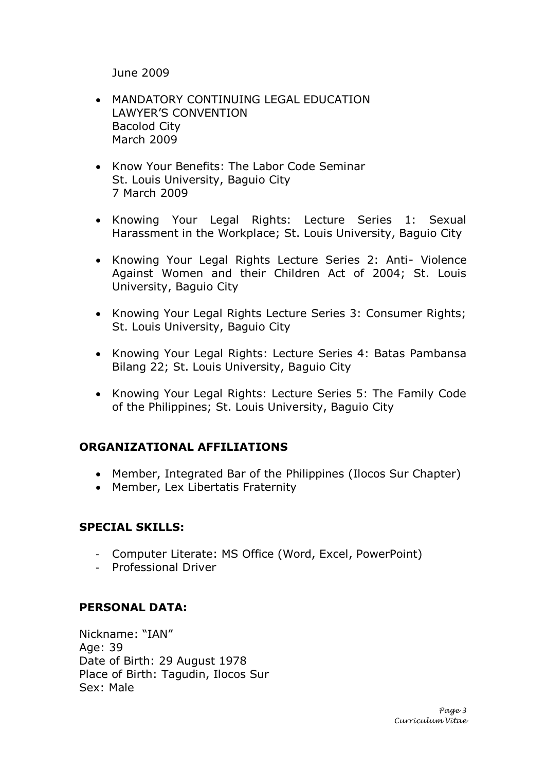June 2009

- MANDATORY CONTINUING LEGAL EDUCATION LAWYER'S CONVENTION Bacolod City March 2009
- Know Your Benefits: The Labor Code Seminar St. Louis University, Baguio City 7 March 2009
- Knowing Your Legal Rights: Lecture Series 1: Sexual Harassment in the Workplace; St. Louis University, Baguio City
- Knowing Your Legal Rights Lecture Series 2: Anti- Violence Against Women and their Children Act of 2004; St. Louis University, Baguio City
- Knowing Your Legal Rights Lecture Series 3: Consumer Rights; St. Louis University, Baguio City
- Knowing Your Legal Rights: Lecture Series 4: Batas Pambansa Bilang 22; St. Louis University, Baguio City
- Knowing Your Legal Rights: Lecture Series 5: The Family Code of the Philippines; St. Louis University, Baguio City

### **ORGANIZATIONAL AFFILIATIONS**

- Member, Integrated Bar of the Philippines (Ilocos Sur Chapter)
- Member, Lex Libertatis Fraternity

### **SPECIAL SKILLS:**

- Computer Literate: MS Office (Word, Excel, PowerPoint)
- Professional Driver

### **PERSONAL DATA:**

Nickname: "IAN" Age: 39 Date of Birth: 29 August 1978 Place of Birth: Tagudin, Ilocos Sur Sex: Male